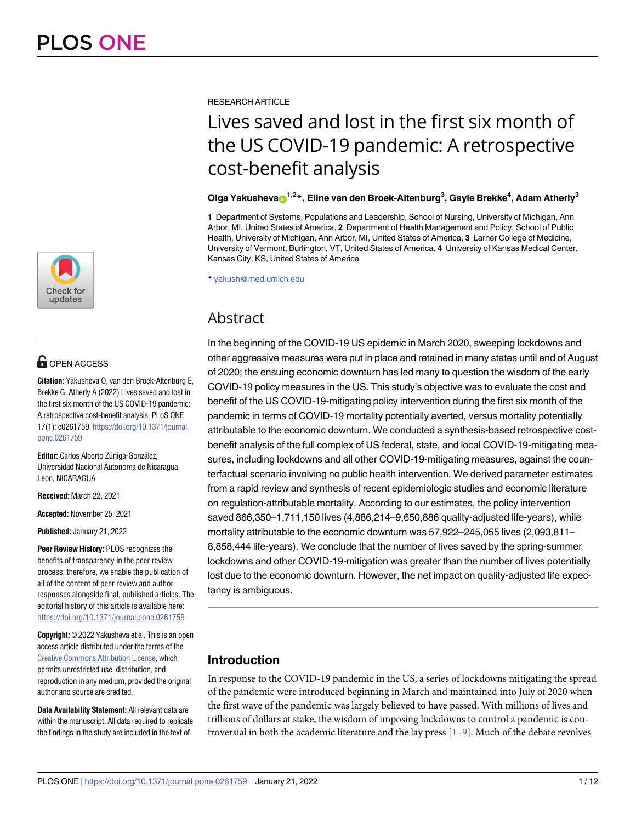

# **OPEN ACCESS**

**Citation:** Yakusheva O, van den Broek-Altenburg E, Brekke G, Atherly A (2022) Lives saved and lost in the first six month of the US COVID-19 pandemic: A retrospective cost-benefit analysis. PLoS ONE 17(1): e0261759. [https://doi.org/10.1371/journal.](https://doi.org/10.1371/journal.pone.0261759) [pone.0261759](https://doi.org/10.1371/journal.pone.0261759)

**Editor:** Carlos Alberto Zúniga-González, Universidad Nacional Autonoma de Nicaragua Leon, NICARAGUA

**Received:** March 22, 2021

**Accepted:** November 25, 2021

**Published:** January 21, 2022

**Peer Review History:** PLOS recognizes the benefits of transparency in the peer review process; therefore, we enable the publication of all of the content of peer review and author responses alongside final, published articles. The editorial history of this article is available here: <https://doi.org/10.1371/journal.pone.0261759>

**Copyright:** © 2022 Yakusheva et al. This is an open access article distributed under the terms of the Creative Commons [Attribution](http://creativecommons.org/licenses/by/4.0/) License, which permits unrestricted use, distribution, and reproduction in any medium, provided the original author and source are credited.

**Data Availability Statement:** All relevant data are within the manuscript. All data required to replicate the findings in the study are included in the text of

<span id="page-0-0"></span>RESEARCH ARTICLE

# Lives saved and lost in the first six month of the US COVID-19 pandemic: A retrospective cost-benefit analysis

#### $O$ lga Yakusheva $\odot$ <sup>1,2</sup> $^{*}$ , Eline van den Broek-Altenburg<sup>3</sup>, Gayle Brekke<sup>4</sup>, Adam Atherly<sup>3</sup>

**1** Department of Systems, Populations and Leadership, School of Nursing, University of Michigan, Ann Arbor, MI, United States of America, **2** Department of Health Management and Policy, School of Public Health, University of Michigan, Ann Arbor, MI, United States of America, **3** Larner College of Medicine, University of Vermont, Burlington, VT, United States of America, **4** University of Kansas Medical Center, Kansas City, KS, United States of America

\* yakush@med.umich.edu

## Abstract

In the beginning of the COVID-19 US epidemic in March 2020, sweeping lockdowns and other aggressive measures were put in place and retained in many states until end of August of 2020; the ensuing economic downturn has led many to question the wisdom of the early COVID-19 policy measures in the US. This study's objective was to evaluate the cost and benefit of the US COVID-19-mitigating policy intervention during the first six month of the pandemic in terms of COVID-19 mortality potentially averted, versus mortality potentially attributable to the economic downturn. We conducted a synthesis-based retrospective costbenefit analysis of the full complex of US federal, state, and local COVID-19-mitigating measures, including lockdowns and all other COVID-19-mitigating measures, against the counterfactual scenario involving no public health intervention. We derived parameter estimates from a rapid review and synthesis of recent epidemiologic studies and economic literature on regulation-attributable mortality. According to our estimates, the policy intervention saved 866,350–1,711,150 lives (4,886,214–9,650,886 quality-adjusted life-years), while mortality attributable to the economic downturn was 57,922–245,055 lives (2,093,811– 8,858,444 life-years). We conclude that the number of lives saved by the spring-summer lockdowns and other COVID-19-mitigation was greater than the number of lives potentially lost due to the economic downturn. However, the net impact on quality-adjusted life expectancy is ambiguous.

## **Introduction**

In response to the COVID-19 pandemic in the US, a series of lockdowns mitigating the spread of the pandemic were introduced beginning in March and maintained into July of 2020 when the first wave of the pandemic was largely believed to have passed. With millions of lives and trillions of dollars at stake, the wisdom of imposing lockdowns to control a pandemic is controversial in both the academic literature and the lay press  $[1-9]$ . Much of the debate revolves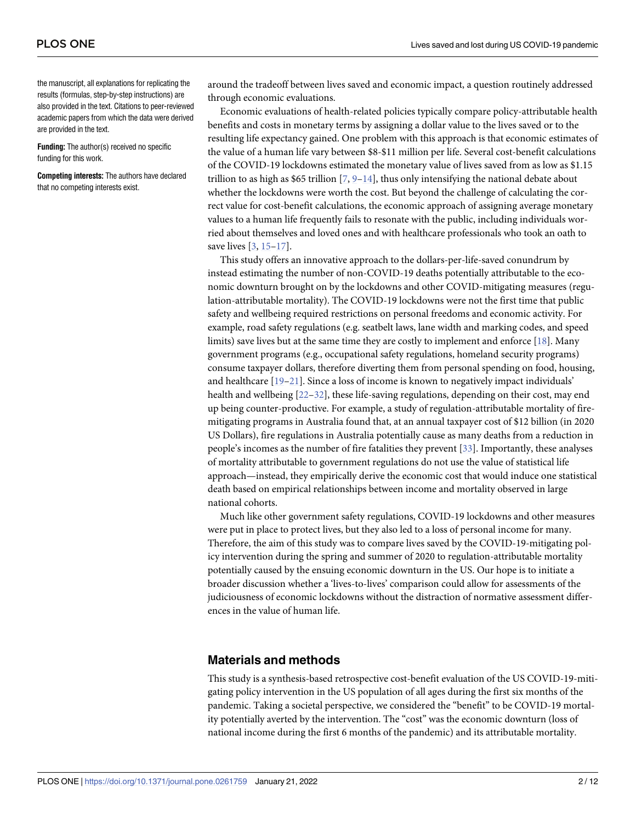<span id="page-1-0"></span>the manuscript, all explanations for replicating the results (formulas, step-by-step instructions) are also provided in the text. Citations to peer-reviewed academic papers from which the data were derived are provided in the text.

**Funding:** The author(s) received no specific funding for this work.

**Competing interests:** The authors have declared that no competing interests exist.

around the tradeoff between lives saved and economic impact, a question routinely addressed through economic evaluations.

Economic evaluations of health-related policies typically compare policy-attributable health benefits and costs in monetary terms by assigning a dollar value to the lives saved or to the resulting life expectancy gained. One problem with this approach is that economic estimates of the value of a human life vary between \$8-\$11 million per life. Several cost-benefit calculations of the COVID-19 lockdowns estimated the monetary value of lives saved from as low as \$1.15 trillion to as high as \$65 trillion  $[7, 9-14]$  $[7, 9-14]$  $[7, 9-14]$ , thus only intensifying the national debate about whether the lockdowns were worth the cost. But beyond the challenge of calculating the correct value for cost-benefit calculations, the economic approach of assigning average monetary values to a human life frequently fails to resonate with the public, including individuals worried about themselves and loved ones and with healthcare professionals who took an oath to save lives [\[3,](#page-8-0) [15–](#page-8-0)[17](#page-9-0)].

This study offers an innovative approach to the dollars-per-life-saved conundrum by instead estimating the number of non-COVID-19 deaths potentially attributable to the economic downturn brought on by the lockdowns and other COVID-mitigating measures (regulation-attributable mortality). The COVID-19 lockdowns were not the first time that public safety and wellbeing required restrictions on personal freedoms and economic activity. For example, road safety regulations (e.g. seatbelt laws, lane width and marking codes, and speed limits) save lives but at the same time they are costly to implement and enforce [\[18\]](#page-9-0). Many government programs (e.g., occupational safety regulations, homeland security programs) consume taxpayer dollars, therefore diverting them from personal spending on food, housing, and healthcare [\[19](#page-9-0)–[21](#page-9-0)]. Since a loss of income is known to negatively impact individuals' health and wellbeing  $[22-32]$ , these life-saving regulations, depending on their cost, may end up being counter-productive. For example, a study of regulation-attributable mortality of firemitigating programs in Australia found that, at an annual taxpayer cost of \$12 billion (in 2020 US Dollars), fire regulations in Australia potentially cause as many deaths from a reduction in people's incomes as the number of fire fatalities they prevent [\[33\]](#page-9-0). Importantly, these analyses of mortality attributable to government regulations do not use the value of statistical life approach—instead, they empirically derive the economic cost that would induce one statistical death based on empirical relationships between income and mortality observed in large national cohorts.

Much like other government safety regulations, COVID-19 lockdowns and other measures were put in place to protect lives, but they also led to a loss of personal income for many. Therefore, the aim of this study was to compare lives saved by the COVID-19-mitigating policy intervention during the spring and summer of 2020 to regulation-attributable mortality potentially caused by the ensuing economic downturn in the US. Our hope is to initiate a broader discussion whether a 'lives-to-lives' comparison could allow for assessments of the judiciousness of economic lockdowns without the distraction of normative assessment differences in the value of human life.

#### **Materials and methods**

This study is a synthesis-based retrospective cost-benefit evaluation of the US COVID-19-mitigating policy intervention in the US population of all ages during the first six months of the pandemic. Taking a societal perspective, we considered the "benefit" to be COVID-19 mortality potentially averted by the intervention. The "cost" was the economic downturn (loss of national income during the first 6 months of the pandemic) and its attributable mortality.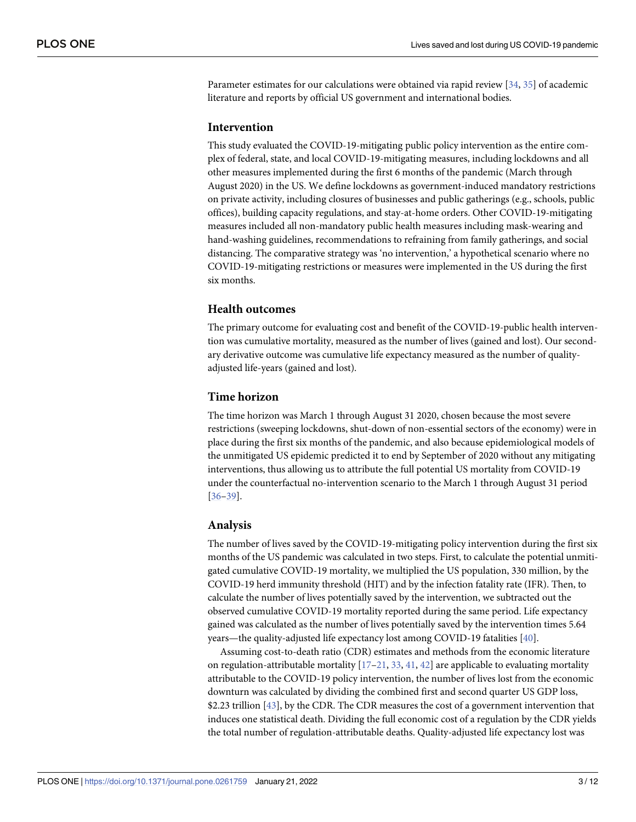<span id="page-2-0"></span>Parameter estimates for our calculations were obtained via rapid review [[34](#page-9-0), [35](#page-9-0)] of academic literature and reports by official US government and international bodies.

#### **Intervention**

This study evaluated the COVID-19-mitigating public policy intervention as the entire complex of federal, state, and local COVID-19-mitigating measures, including lockdowns and all other measures implemented during the first 6 months of the pandemic (March through August 2020) in the US. We define lockdowns as government-induced mandatory restrictions on private activity, including closures of businesses and public gatherings (e.g., schools, public offices), building capacity regulations, and stay-at-home orders. Other COVID-19-mitigating measures included all non-mandatory public health measures including mask-wearing and hand-washing guidelines, recommendations to refraining from family gatherings, and social distancing. The comparative strategy was 'no intervention,' a hypothetical scenario where no COVID-19-mitigating restrictions or measures were implemented in the US during the first six months.

#### **Health outcomes**

The primary outcome for evaluating cost and benefit of the COVID-19-public health intervention was cumulative mortality, measured as the number of lives (gained and lost). Our secondary derivative outcome was cumulative life expectancy measured as the number of qualityadjusted life-years (gained and lost).

#### **Time horizon**

The time horizon was March 1 through August 31 2020, chosen because the most severe restrictions (sweeping lockdowns, shut-down of non-essential sectors of the economy) were in place during the first six months of the pandemic, and also because epidemiological models of the unmitigated US epidemic predicted it to end by September of 2020 without any mitigating interventions, thus allowing us to attribute the full potential US mortality from COVID-19 under the counterfactual no-intervention scenario to the March 1 through August 31 period [\[36](#page-9-0)[–39\]](#page-10-0).

#### **Analysis**

The number of lives saved by the COVID-19-mitigating policy intervention during the first six months of the US pandemic was calculated in two steps. First, to calculate the potential unmitigated cumulative COVID-19 mortality, we multiplied the US population, 330 million, by the COVID-19 herd immunity threshold (HIT) and by the infection fatality rate (IFR). Then, to calculate the number of lives potentially saved by the intervention, we subtracted out the observed cumulative COVID-19 mortality reported during the same period. Life expectancy gained was calculated as the number of lives potentially saved by the intervention times 5.64 years—the quality-adjusted life expectancy lost among COVID-19 fatalities [[40](#page-10-0)].

Assuming cost-to-death ratio (CDR) estimates and methods from the economic literature on regulation-attributable mortality  $[17–21, 33, 41, 42]$  $[17–21, 33, 41, 42]$  $[17–21, 33, 41, 42]$  $[17–21, 33, 41, 42]$  $[17–21, 33, 41, 42]$  $[17–21, 33, 41, 42]$  $[17–21, 33, 41, 42]$  $[17–21, 33, 41, 42]$  are applicable to evaluating mortality attributable to the COVID-19 policy intervention, the number of lives lost from the economic downturn was calculated by dividing the combined first and second quarter US GDP loss, \$2.23 trillion [[43](#page-10-0)], by the CDR. The CDR measures the cost of a government intervention that induces one statistical death. Dividing the full economic cost of a regulation by the CDR yields the total number of regulation-attributable deaths. Quality-adjusted life expectancy lost was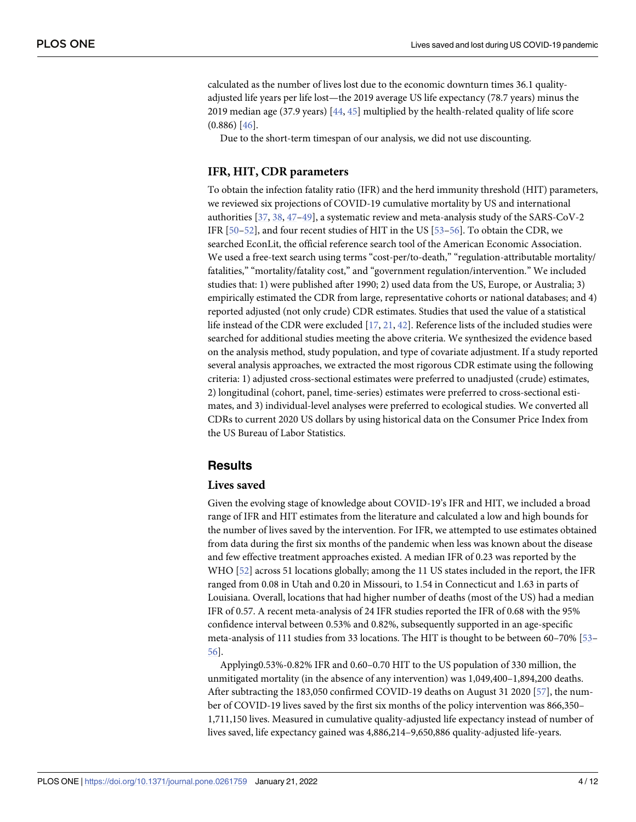<span id="page-3-0"></span>calculated as the number of lives lost due to the economic downturn times 36.1 qualityadjusted life years per life lost—the 2019 average US life expectancy (78.7 years) minus the 2019 median age (37.9 years) [[44](#page-10-0), [45](#page-10-0)] multiplied by the health-related quality of life score (0.886) [[46](#page-10-0)].

Due to the short-term timespan of our analysis, we did not use discounting.

#### **IFR, HIT, CDR parameters**

To obtain the infection fatality ratio (IFR) and the herd immunity threshold (HIT) parameters, we reviewed six projections of COVID-19 cumulative mortality by US and international authorities [\[37,](#page-9-0) [38,](#page-10-0) [47–49\]](#page-10-0), a systematic review and meta-analysis study of the SARS-CoV-2 IFR [\[50–52\]](#page-10-0), and four recent studies of HIT in the US [\[53–56](#page-10-0)]. To obtain the CDR, we searched EconLit, the official reference search tool of the American Economic Association. We used a free-text search using terms "cost-per/to-death," "regulation-attributable mortality/ fatalities," "mortality/fatality cost," and "government regulation/intervention." We included studies that: 1) were published after 1990; 2) used data from the US, Europe, or Australia; 3) empirically estimated the CDR from large, representative cohorts or national databases; and 4) reported adjusted (not only crude) CDR estimates. Studies that used the value of a statistical life instead of the CDR were excluded [\[17](#page-9-0), [21](#page-9-0), [42](#page-10-0)]. Reference lists of the included studies were searched for additional studies meeting the above criteria. We synthesized the evidence based on the analysis method, study population, and type of covariate adjustment. If a study reported several analysis approaches, we extracted the most rigorous CDR estimate using the following criteria: 1) adjusted cross-sectional estimates were preferred to unadjusted (crude) estimates, 2) longitudinal (cohort, panel, time-series) estimates were preferred to cross-sectional estimates, and 3) individual-level analyses were preferred to ecological studies. We converted all CDRs to current 2020 US dollars by using historical data on the Consumer Price Index from the US Bureau of Labor Statistics.

#### **Results**

#### **Lives saved**

Given the evolving stage of knowledge about COVID-19's IFR and HIT, we included a broad range of IFR and HIT estimates from the literature and calculated a low and high bounds for the number of lives saved by the intervention. For IFR, we attempted to use estimates obtained from data during the first six months of the pandemic when less was known about the disease and few effective treatment approaches existed. A median IFR of 0.23 was reported by the WHO [\[52\]](#page-10-0) across 51 locations globally; among the 11 US states included in the report, the IFR ranged from 0.08 in Utah and 0.20 in Missouri, to 1.54 in Connecticut and 1.63 in parts of Louisiana. Overall, locations that had higher number of deaths (most of the US) had a median IFR of 0.57. A recent meta-analysis of 24 IFR studies reported the IFR of 0.68 with the 95% confidence interval between 0.53% and 0.82%, subsequently supported in an age-specific meta-analysis of 111 studies from 33 locations. The HIT is thought to be between 60–70% [\[53–](#page-10-0) [56\]](#page-10-0).

Applying0.53%-0.82% IFR and 0.60–0.70 HIT to the US population of 330 million, the unmitigated mortality (in the absence of any intervention) was 1,049,400–1,894,200 deaths. After subtracting the 183,050 confirmed COVID-19 deaths on August 31 2020 [[57](#page-10-0)], the number of COVID-19 lives saved by the first six months of the policy intervention was 866,350– 1,711,150 lives. Measured in cumulative quality-adjusted life expectancy instead of number of lives saved, life expectancy gained was 4,886,214–9,650,886 quality-adjusted life-years.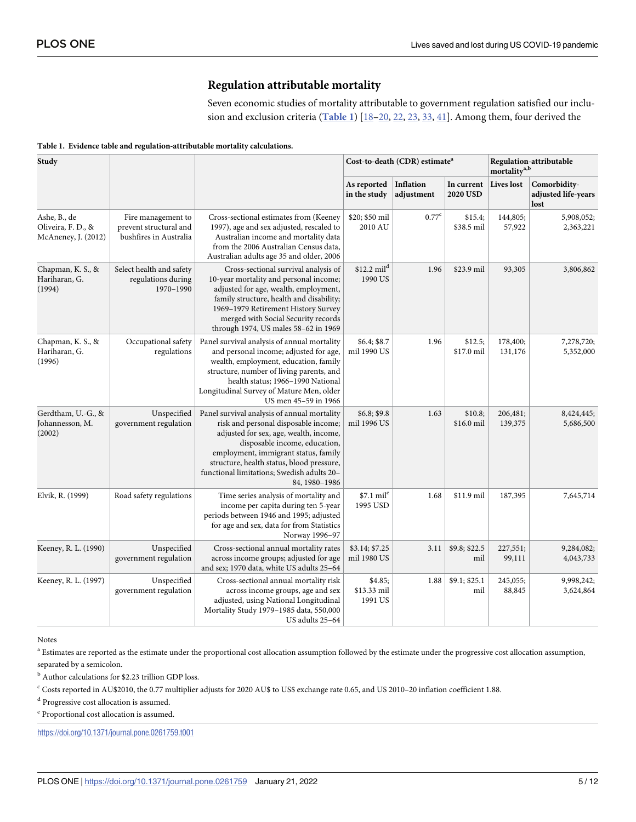### **Regulation attributable mortality**

Seven economic studies of mortality attributable to government regulation satisfied our inclusion and exclusion criteria (**Table 1**) [\[18–20](#page-9-0), [22](#page-9-0), [23](#page-9-0), [33](#page-9-0), [41](#page-10-0)]. Among them, four derived the

| Study                                                     |                                                                        |                                                                                                                                                                                                                                                                                                                    | Cost-to-death (CDR) estimate <sup>a</sup> |                         |                               | Regulation-attributable<br>mortality <sup>a,b</sup> |                                             |
|-----------------------------------------------------------|------------------------------------------------------------------------|--------------------------------------------------------------------------------------------------------------------------------------------------------------------------------------------------------------------------------------------------------------------------------------------------------------------|-------------------------------------------|-------------------------|-------------------------------|-----------------------------------------------------|---------------------------------------------|
|                                                           |                                                                        |                                                                                                                                                                                                                                                                                                                    | As reported<br>in the study               | Inflation<br>adjustment | In current<br><b>2020 USD</b> | <b>Lives</b> lost                                   | Comorbidity-<br>adjusted life-years<br>lost |
| Ashe, B., de<br>Oliveira, F. D., &<br>McAneney, J. (2012) | Fire management to<br>prevent structural and<br>bushfires in Australia | Cross-sectional estimates from (Keeney<br>1997), age and sex adjusted, rescaled to<br>Australian income and mortality data<br>from the 2006 Australian Census data,<br>Australian adults age 35 and older, 2006                                                                                                    | \$20; \$50 mil<br>2010 AU                 | 0.77 <sup>c</sup>       | \$15.4;<br>\$38.5 mil         | 144,805;<br>57,922                                  | 5,908,052;<br>2,363,221                     |
| Chapman, K. S., &<br>Hariharan, G.<br>(1994)              | Select health and safety<br>regulations during<br>1970-1990            | Cross-sectional survival analysis of<br>10-year mortality and personal income;<br>adjusted for age, wealth, employment,<br>family structure, health and disability;<br>1969-1979 Retirement History Survey<br>merged with Social Security records<br>through 1974, US males 58-62 in 1969                          | \$12.2 mil <sup>d</sup><br>1990 US        | 1.96                    | \$23.9 mil                    | 93,305                                              | 3,806,862                                   |
| Chapman, K. S., &<br>Hariharan, G.<br>(1996)              | Occupational safety<br>regulations                                     | Panel survival analysis of annual mortality<br>and personal income; adjusted for age,<br>wealth, employment, education, family<br>structure, number of living parents, and<br>health status; 1966-1990 National<br>Longitudinal Survey of Mature Men, older<br>US men 45-59 in 1966                                | \$6.4; \$8.7<br>mil 1990 US               | 1.96                    | \$12.5;<br>\$17.0 mil         | 178,400;<br>131,176                                 | 7,278,720;<br>5,352,000                     |
| Gerdtham, U.-G., &<br>Johannesson, M.<br>(2002)           | Unspecified<br>government regulation                                   | Panel survival analysis of annual mortality<br>risk and personal disposable income;<br>adjusted for sex, age, wealth, income,<br>disposable income, education,<br>employment, immigrant status, family<br>structure, health status, blood pressure,<br>functional limitations; Swedish adults 20-<br>84, 1980-1986 | \$6.8; \$9.8<br>mil 1996 US               | 1.63                    | \$10.8;<br>\$16.0 mil         | 206,481;<br>139,375                                 | 8,424,445;<br>5,686,500                     |
| Elvik, R. (1999)                                          | Road safety regulations                                                | Time series analysis of mortality and<br>income per capita during ten 5-year<br>periods between 1946 and 1995; adjusted<br>for age and sex, data for from Statistics<br>Norway 1996-97                                                                                                                             | \$7.1 mil <sup>e</sup><br>1995 USD        | 1.68                    | \$11.9 mil                    | 187,395                                             | 7,645,714                                   |
| Keeney, R. L. (1990)                                      | Unspecified<br>government regulation                                   | Cross-sectional annual mortality rates<br>across income groups; adjusted for age<br>and sex; 1970 data, white US adults 25-64                                                                                                                                                                                      | \$3.14; \$7.25<br>mil 1980 US             | 3.11                    | \$9.8; \$22.5<br>mil          | 227,551;<br>99,111                                  | 9,284,082;<br>4,043,733                     |
| Keeney, R. L. (1997)                                      | Unspecified<br>government regulation                                   | Cross-sectional annual mortality risk<br>across income groups, age and sex<br>adjusted, using National Longitudinal<br>Mortality Study 1979-1985 data, 550,000<br>US adults 25-64                                                                                                                                  | \$4.85;<br>\$13.33 mil<br>1991 US         | 1.88                    | \$9.1; \$25.1<br>mil          | 245,055;<br>88,845                                  | 9,998,242;<br>3,624,864                     |

#### <span id="page-4-0"></span>**Table 1. Evidence table and regulation-attributable mortality calculations.**

Notes

<sup>a</sup> Estimates are reported as the estimate under the proportional cost allocation assumption followed by the estimate under the progressive cost allocation assumption, separated by a semicolon.

<sup>b</sup> Author calculations for \$2.23 trillion GDP loss.

 $^{\rm c}$  Costs reported in AU\$2010, the 0.77 multiplier adjusts for 2020 AU\$ to US\$ exchange rate 0.65, and US 2010–20 inflation coefficient 1.88.

<sup>d</sup> Progressive cost allocation is assumed.

<sup>e</sup> Proportional cost allocation is assumed.

<https://doi.org/10.1371/journal.pone.0261759.t001>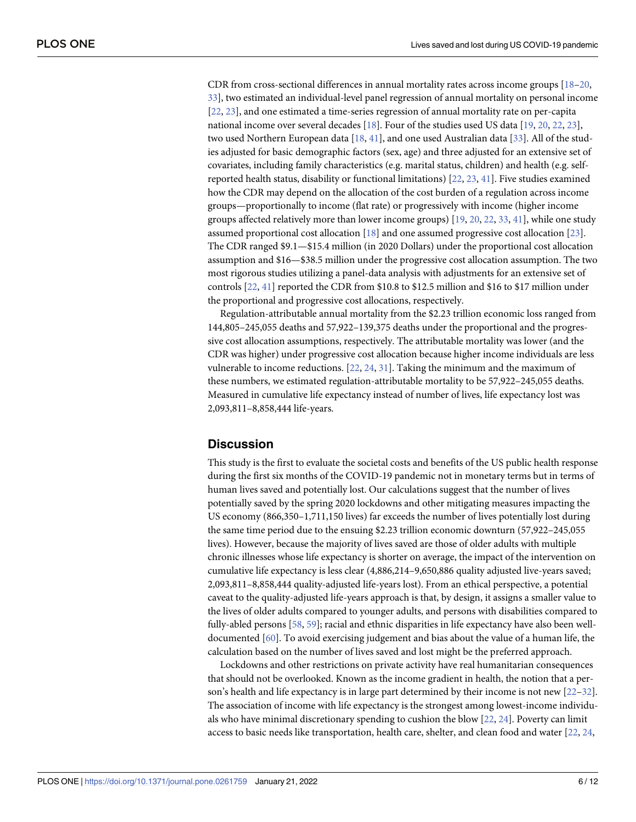<span id="page-5-0"></span>CDR from cross-sectional differences in annual mortality rates across income groups [\[18–20](#page-9-0), [33\]](#page-9-0), two estimated an individual-level panel regression of annual mortality on personal income [\[22,](#page-9-0) [23\]](#page-9-0), and one estimated a time-series regression of annual mortality rate on per-capita national income over several decades [\[18\]](#page-9-0). Four of the studies used US data [\[19,](#page-9-0) [20,](#page-9-0) [22,](#page-9-0) [23\]](#page-9-0), two used Northern European data [\[18,](#page-9-0) [41\]](#page-10-0), and one used Australian data [\[33\]](#page-9-0). All of the studies adjusted for basic demographic factors (sex, age) and three adjusted for an extensive set of covariates, including family characteristics (e.g. marital status, children) and health (e.g. selfreported health status, disability or functional limitations) [\[22,](#page-9-0) [23,](#page-9-0) [41\]](#page-10-0). Five studies examined how the CDR may depend on the allocation of the cost burden of a regulation across income groups—proportionally to income (flat rate) or progressively with income (higher income groups affected relatively more than lower income groups) [\[19,](#page-9-0) [20,](#page-9-0) [22,](#page-9-0) [33,](#page-9-0) [41\]](#page-10-0), while one study assumed proportional cost allocation [[18](#page-9-0)] and one assumed progressive cost allocation [\[23\]](#page-9-0). The CDR ranged \$9.1—\$15.4 million (in 2020 Dollars) under the proportional cost allocation assumption and \$16—\$38.5 million under the progressive cost allocation assumption. The two most rigorous studies utilizing a panel-data analysis with adjustments for an extensive set of controls [\[22,](#page-9-0) [41\]](#page-10-0) reported the CDR from \$10.8 to \$12.5 million and \$16 to \$17 million under the proportional and progressive cost allocations, respectively.

Regulation-attributable annual mortality from the \$2.23 trillion economic loss ranged from 144,805–245,055 deaths and 57,922–139,375 deaths under the proportional and the progressive cost allocation assumptions, respectively. The attributable mortality was lower (and the CDR was higher) under progressive cost allocation because higher income individuals are less vulnerable to income reductions. [[22](#page-9-0), [24](#page-9-0), [31](#page-9-0)]. Taking the minimum and the maximum of these numbers, we estimated regulation-attributable mortality to be 57,922–245,055 deaths. Measured in cumulative life expectancy instead of number of lives, life expectancy lost was 2,093,811–8,858,444 life-years.

#### **Discussion**

This study is the first to evaluate the societal costs and benefits of the US public health response during the first six months of the COVID-19 pandemic not in monetary terms but in terms of human lives saved and potentially lost. Our calculations suggest that the number of lives potentially saved by the spring 2020 lockdowns and other mitigating measures impacting the US economy (866,350–1,711,150 lives) far exceeds the number of lives potentially lost during the same time period due to the ensuing \$2.23 trillion economic downturn (57,922–245,055 lives). However, because the majority of lives saved are those of older adults with multiple chronic illnesses whose life expectancy is shorter on average, the impact of the intervention on cumulative life expectancy is less clear (4,886,214–9,650,886 quality adjusted live-years saved; 2,093,811–8,858,444 quality-adjusted life-years lost). From an ethical perspective, a potential caveat to the quality-adjusted life-years approach is that, by design, it assigns a smaller value to the lives of older adults compared to younger adults, and persons with disabilities compared to fully-abled persons [\[58,](#page-10-0) [59\]](#page-10-0); racial and ethnic disparities in life expectancy have also been welldocumented [[60](#page-10-0)]. To avoid exercising judgement and bias about the value of a human life, the calculation based on the number of lives saved and lost might be the preferred approach.

Lockdowns and other restrictions on private activity have real humanitarian consequences that should not be overlooked. Known as the income gradient in health, the notion that a person's health and life expectancy is in large part determined by their income is not new [[22–32\]](#page-9-0). The association of income with life expectancy is the strongest among lowest-income individuals who have minimal discretionary spending to cushion the blow [\[22,](#page-9-0) [24\]](#page-9-0). Poverty can limit access to basic needs like transportation, health care, shelter, and clean food and water [[22](#page-9-0), [24](#page-9-0),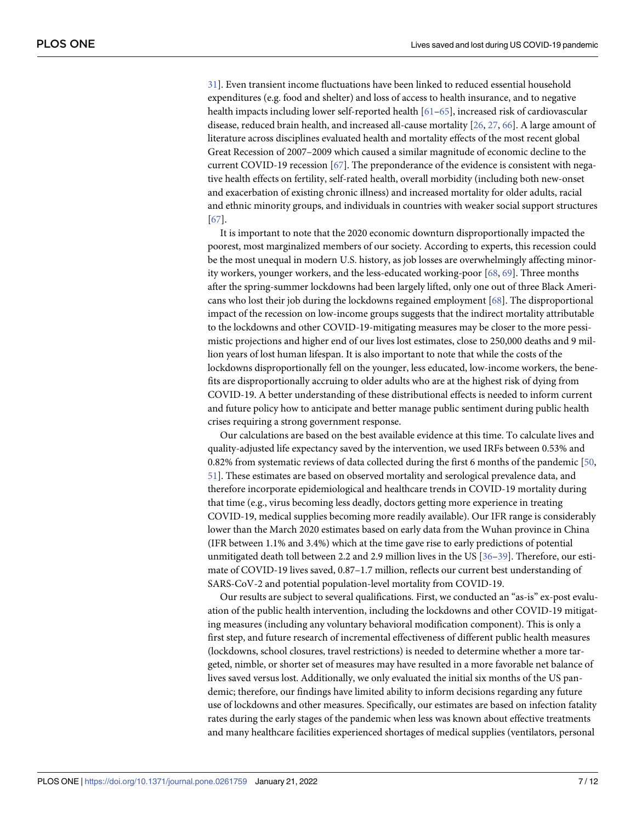<span id="page-6-0"></span>[31\]](#page-9-0). Even transient income fluctuations have been linked to reduced essential household expenditures (e.g. food and shelter) and loss of access to health insurance, and to negative health impacts including lower self-reported health [[61–65\]](#page-11-0), increased risk of cardiovascular disease, reduced brain health, and increased all-cause mortality [[26](#page-9-0), [27](#page-9-0), [66](#page-11-0)]. A large amount of literature across disciplines evaluated health and mortality effects of the most recent global Great Recession of 2007–2009 which caused a similar magnitude of economic decline to the current COVID-19 recession [\[67\]](#page-11-0). The preponderance of the evidence is consistent with negative health effects on fertility, self-rated health, overall morbidity (including both new-onset and exacerbation of existing chronic illness) and increased mortality for older adults, racial and ethnic minority groups, and individuals in countries with weaker social support structures [\[67\]](#page-11-0).

It is important to note that the 2020 economic downturn disproportionally impacted the poorest, most marginalized members of our society. According to experts, this recession could be the most unequal in modern U.S. history, as job losses are overwhelmingly affecting minority workers, younger workers, and the less-educated working-poor [[68](#page-11-0), [69](#page-11-0)]. Three months after the spring-summer lockdowns had been largely lifted, only one out of three Black Americans who lost their job during the lockdowns regained employment [[68](#page-11-0)]. The disproportional impact of the recession on low-income groups suggests that the indirect mortality attributable to the lockdowns and other COVID-19-mitigating measures may be closer to the more pessimistic projections and higher end of our lives lost estimates, close to 250,000 deaths and 9 million years of lost human lifespan. It is also important to note that while the costs of the lockdowns disproportionally fell on the younger, less educated, low-income workers, the benefits are disproportionally accruing to older adults who are at the highest risk of dying from COVID-19. A better understanding of these distributional effects is needed to inform current and future policy how to anticipate and better manage public sentiment during public health crises requiring a strong government response.

Our calculations are based on the best available evidence at this time. To calculate lives and quality-adjusted life expectancy saved by the intervention, we used IRFs between 0.53% and 0.82% from systematic reviews of data collected during the first 6 months of the pandemic [[50](#page-10-0), [51\]](#page-10-0). These estimates are based on observed mortality and serological prevalence data, and therefore incorporate epidemiological and healthcare trends in COVID-19 mortality during that time (e.g., virus becoming less deadly, doctors getting more experience in treating COVID-19, medical supplies becoming more readily available). Our IFR range is considerably lower than the March 2020 estimates based on early data from the Wuhan province in China (IFR between 1.1% and 3.4%) which at the time gave rise to early predictions of potential unmitigated death toll between 2.2 and 2.9 million lives in the US [[36](#page-9-0)[–39\]](#page-10-0). Therefore, our estimate of COVID-19 lives saved, 0.87–1.7 million, reflects our current best understanding of SARS-CoV-2 and potential population-level mortality from COVID-19.

Our results are subject to several qualifications. First, we conducted an "as-is" ex-post evaluation of the public health intervention, including the lockdowns and other COVID-19 mitigating measures (including any voluntary behavioral modification component). This is only a first step, and future research of incremental effectiveness of different public health measures (lockdowns, school closures, travel restrictions) is needed to determine whether a more targeted, nimble, or shorter set of measures may have resulted in a more favorable net balance of lives saved versus lost. Additionally, we only evaluated the initial six months of the US pandemic; therefore, our findings have limited ability to inform decisions regarding any future use of lockdowns and other measures. Specifically, our estimates are based on infection fatality rates during the early stages of the pandemic when less was known about effective treatments and many healthcare facilities experienced shortages of medical supplies (ventilators, personal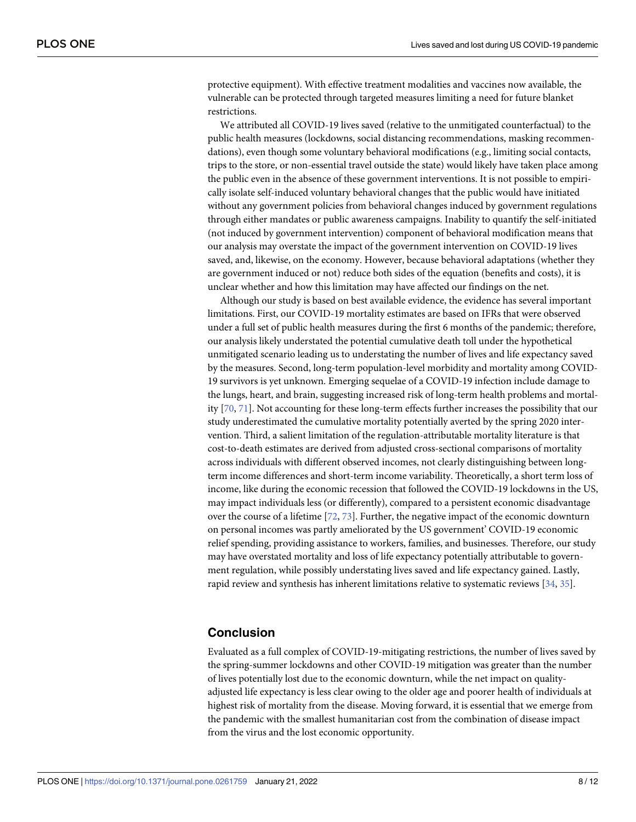<span id="page-7-0"></span>protective equipment). With effective treatment modalities and vaccines now available, the vulnerable can be protected through targeted measures limiting a need for future blanket restrictions.

We attributed all COVID-19 lives saved (relative to the unmitigated counterfactual) to the public health measures (lockdowns, social distancing recommendations, masking recommendations), even though some voluntary behavioral modifications (e.g., limiting social contacts, trips to the store, or non-essential travel outside the state) would likely have taken place among the public even in the absence of these government interventions. It is not possible to empirically isolate self-induced voluntary behavioral changes that the public would have initiated without any government policies from behavioral changes induced by government regulations through either mandates or public awareness campaigns. Inability to quantify the self-initiated (not induced by government intervention) component of behavioral modification means that our analysis may overstate the impact of the government intervention on COVID-19 lives saved, and, likewise, on the economy. However, because behavioral adaptations (whether they are government induced or not) reduce both sides of the equation (benefits and costs), it is unclear whether and how this limitation may have affected our findings on the net.

Although our study is based on best available evidence, the evidence has several important limitations. First, our COVID-19 mortality estimates are based on IFRs that were observed under a full set of public health measures during the first 6 months of the pandemic; therefore, our analysis likely understated the potential cumulative death toll under the hypothetical unmitigated scenario leading us to understating the number of lives and life expectancy saved by the measures. Second, long-term population-level morbidity and mortality among COVID-19 survivors is yet unknown. Emerging sequelae of a COVID-19 infection include damage to the lungs, heart, and brain, suggesting increased risk of long-term health problems and mortality [[70](#page-11-0), [71](#page-11-0)]. Not accounting for these long-term effects further increases the possibility that our study underestimated the cumulative mortality potentially averted by the spring 2020 intervention. Third, a salient limitation of the regulation-attributable mortality literature is that cost-to-death estimates are derived from adjusted cross-sectional comparisons of mortality across individuals with different observed incomes, not clearly distinguishing between longterm income differences and short-term income variability. Theoretically, a short term loss of income, like during the economic recession that followed the COVID-19 lockdowns in the US, may impact individuals less (or differently), compared to a persistent economic disadvantage over the course of a lifetime  $[72, 73]$  $[72, 73]$  $[72, 73]$ . Further, the negative impact of the economic downturn on personal incomes was partly ameliorated by the US government' COVID-19 economic relief spending, providing assistance to workers, families, and businesses. Therefore, our study may have overstated mortality and loss of life expectancy potentially attributable to government regulation, while possibly understating lives saved and life expectancy gained. Lastly, rapid review and synthesis has inherent limitations relative to systematic reviews [\[34,](#page-9-0) [35\]](#page-9-0).

#### **Conclusion**

Evaluated as a full complex of COVID-19-mitigating restrictions, the number of lives saved by the spring-summer lockdowns and other COVID-19 mitigation was greater than the number of lives potentially lost due to the economic downturn, while the net impact on qualityadjusted life expectancy is less clear owing to the older age and poorer health of individuals at highest risk of mortality from the disease. Moving forward, it is essential that we emerge from the pandemic with the smallest humanitarian cost from the combination of disease impact from the virus and the lost economic opportunity.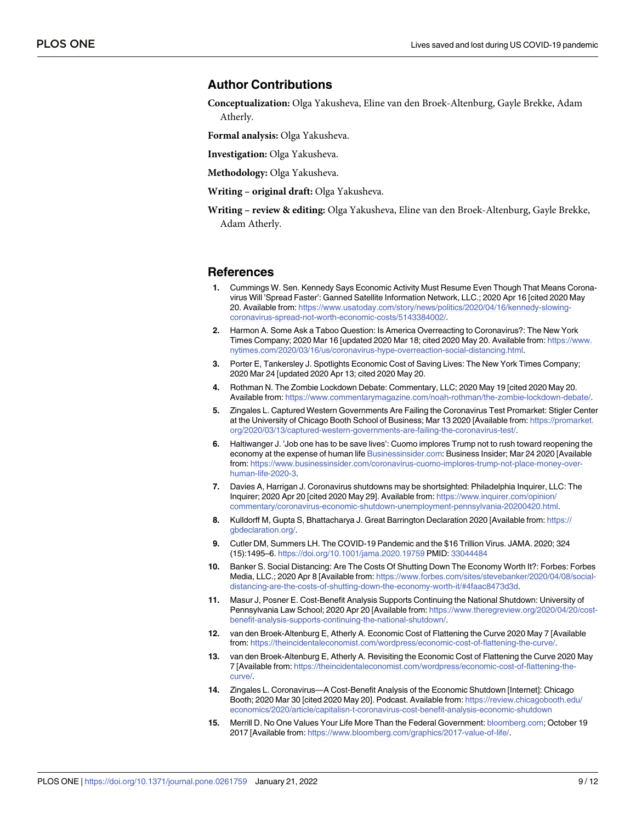#### <span id="page-8-0"></span>**Author Contributions**

**Conceptualization:** Olga Yakusheva, Eline van den Broek-Altenburg, Gayle Brekke, Adam Atherly.

**Formal analysis:** Olga Yakusheva.

**Investigation:** Olga Yakusheva.

**Methodology:** Olga Yakusheva.

**Writing – original draft:** Olga Yakusheva.

**Writing – review & editing:** Olga Yakusheva, Eline van den Broek-Altenburg, Gayle Brekke, Adam Atherly.

#### **References**

- **[1](#page-0-0).** Cummings W. Sen. Kennedy Says Economic Activity Must Resume Even Though That Means Coronavirus Will 'Spread Faster': Ganned Satellite Information Network, LLC.; 2020 Apr 16 [cited 2020 May 20. Available from: [https://www.usatoday.com/story/news/politics/2020/04/16/kennedy-slowing](https://www.usatoday.com/story/news/politics/2020/04/16/kennedy-slowing-coronavirus-spread-not-worth-economic-costs/5143384002/)[coronavirus-spread-not-worth-economic-costs/5143384002/](https://www.usatoday.com/story/news/politics/2020/04/16/kennedy-slowing-coronavirus-spread-not-worth-economic-costs/5143384002/).
- **2.** Harmon A. Some Ask a Taboo Question: Is America Overreacting to Coronavirus?: The New York Times Company; 2020 Mar 16 [updated 2020 Mar 18; cited 2020 May 20. Available from: [https://www.](https://www.nytimes.com/2020/03/16/us/coronavirus-hype-overreaction-social-distancing.html) [nytimes.com/2020/03/16/us/coronavirus-hype-overreaction-social-distancing.html.](https://www.nytimes.com/2020/03/16/us/coronavirus-hype-overreaction-social-distancing.html)
- **[3](#page-1-0).** Porter E, Tankersley J. Spotlights Economic Cost of Saving Lives: The New York Times Company; 2020 Mar 24 [updated 2020 Apr 13; cited 2020 May 20.
- **4.** Rothman N. The Zombie Lockdown Debate: Commentary, LLC; 2020 May 19 [cited 2020 May 20. Available from: [https://www.commentarymagazine.com/noah-rothman/the-zombie-lockdown-debate/.](https://www.commentarymagazine.com/noah-rothman/the-zombie-lockdown-debate/)
- **5.** Zingales L. Captured Western Governments Are Failing the Coronavirus Test Promarket: Stigler Center at the University of Chicago Booth School of Business; Mar 13 2020 [Available from: [https://promarket.](https://promarket.org/2020/03/13/captured-western-governments-are-failing-the-coronavirus-test/) [org/2020/03/13/captured-western-governments-are-failing-the-coronavirus-test/.](https://promarket.org/2020/03/13/captured-western-governments-are-failing-the-coronavirus-test/)
- **6.** Haltiwanger J. 'Job one has to be save lives': Cuomo implores Trump not to rush toward reopening the economy at the expense of human life [Businessinsider.com:](http://Businessinsider.com) Business Insider; Mar 24 2020 [Available from: [https://www.businessinsider.com/coronavirus-cuomo-implores-trump-not-place-money-over](https://www.businessinsider.com/coronavirus-cuomo-implores-trump-not-place-money-over-human-life-2020-3)[human-life-2020-3](https://www.businessinsider.com/coronavirus-cuomo-implores-trump-not-place-money-over-human-life-2020-3).
- **[7](#page-1-0).** Davies A, Harrigan J. Coronavirus shutdowns may be shortsighted: Philadelphia Inquirer, LLC: The Inquirer; 2020 Apr 20 [cited 2020 May 29]. Available from: [https://www.inquirer.com/opinion/](https://www.inquirer.com/opinion/commentary/coronavirus-economic-shutdown-unemployment-pennsylvania-20200420.html) [commentary/coronavirus-economic-shutdown-unemployment-pennsylvania-20200420.html](https://www.inquirer.com/opinion/commentary/coronavirus-economic-shutdown-unemployment-pennsylvania-20200420.html).
- **8.** Kulldorff M, Gupta S, Bhattacharya J. Great Barrington Declaration 2020 [Available from: [https://](https://gbdeclaration.org/) [gbdeclaration.org/](https://gbdeclaration.org/).
- **[9](#page-0-0).** Cutler DM, Summers LH. The COVID-19 Pandemic and the \$16 Trillion Virus. JAMA. 2020; 324 (15):1495–6. <https://doi.org/10.1001/jama.2020.19759> PMID: [33044484](http://www.ncbi.nlm.nih.gov/pubmed/33044484)
- **10.** Banker S. Social Distancing: Are The Costs Of Shutting Down The Economy Worth It?: Forbes: Forbes Media, LLC.; 2020 Apr 8 [Available from: [https://www.forbes.com/sites/stevebanker/2020/04/08/social](https://www.forbes.com/sites/stevebanker/2020/04/08/social-distancing-are-the-costs-of-shutting-down-the-economy-worth-it/#4faac8473d3d)[distancing-are-the-costs-of-shutting-down-the-economy-worth-it/#4faac8473d3d.](https://www.forbes.com/sites/stevebanker/2020/04/08/social-distancing-are-the-costs-of-shutting-down-the-economy-worth-it/#4faac8473d3d)
- **11.** Masur J, Posner E. Cost-Benefit Analysis Supports Continuing the National Shutdown: University of Pennsylvania Law School; 2020 Apr 20 [Available from: [https://www.theregreview.org/2020/04/20/cost](https://www.theregreview.org/2020/04/20/cost-benefit-analysis-supports-continuing-the-national-shutdown/)[benefit-analysis-supports-continuing-the-national-shutdown/](https://www.theregreview.org/2020/04/20/cost-benefit-analysis-supports-continuing-the-national-shutdown/).
- **12.** van den Broek-Altenburg E, Atherly A. Economic Cost of Flattening the Curve 2020 May 7 [Available from: [https://theincidentaleconomist.com/wordpress/economic-cost-of-flattening-the-curve/.](https://theincidentaleconomist.com/wordpress/economic-cost-of-flattening-the-curve/)
- **13.** van den Broek-Altenburg E, Atherly A. Revisiting the Economic Cost of Flattening the Curve 2020 May 7 [Available from: [https://theincidentaleconomist.com/wordpress/economic-cost-of-flattening-the](https://theincidentaleconomist.com/wordpress/economic-cost-of-flattening-the-curve/)[curve/](https://theincidentaleconomist.com/wordpress/economic-cost-of-flattening-the-curve/).
- **[14](#page-1-0).** Zingales L. Coronavirus—A Cost-Benefit Analysis of the Economic Shutdown [Internet]: Chicago Booth; 2020 Mar 30 [cited 2020 May 20]. Podcast. Available from: [https://review.chicagobooth.edu/](https://review.chicagobooth.edu/economics/2020/article/capitalisn-t-coronavirus-cost-benefit-analysis-economic-shutdown) [economics/2020/article/capitalisn-t-coronavirus-cost-benefit-analysis-economic-shutdown](https://review.chicagobooth.edu/economics/2020/article/capitalisn-t-coronavirus-cost-benefit-analysis-economic-shutdown)
- **[15](#page-1-0).** Merrill D. No One Values Your Life More Than the Federal Government: [bloomberg.com](http://bloomberg.com); October 19 2017 [Available from: <https://www.bloomberg.com/graphics/2017-value-of-life/>.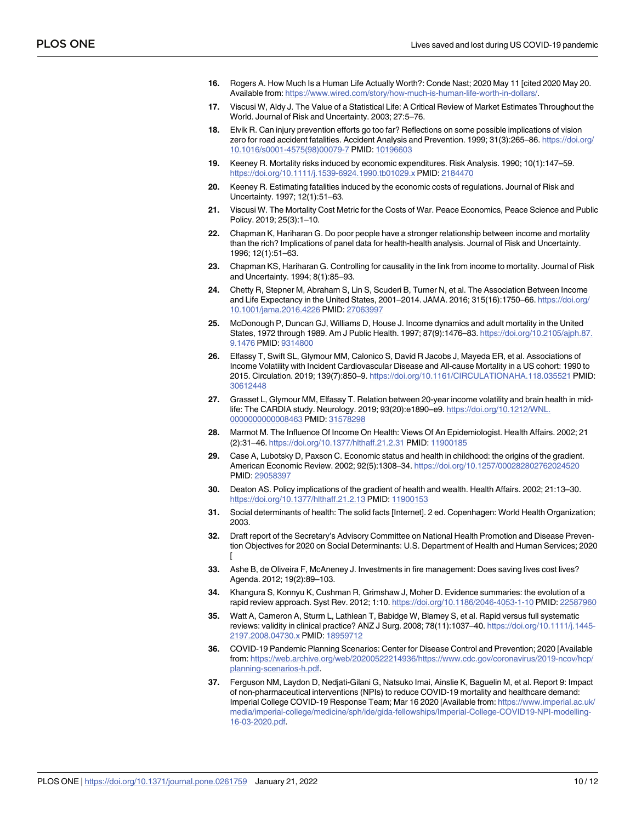- <span id="page-9-0"></span>**16.** Rogers A. How Much Is a Human Life Actually Worth?: Conde Nast; 2020 May 11 [cited 2020 May 20. Available from: <https://www.wired.com/story/how-much-is-human-life-worth-in-dollars/>.
- **[17](#page-3-0).** Viscusi W, Aldy J. The Value of a Statistical Life: A Critical Review of Market Estimates Throughout the World. Journal of Risk and Uncertainty. 2003; 27:5–76.
- **[18](#page-5-0).** Elvik R. Can injury prevention efforts go too far? Reflections on some possible implications of vision zero for road accident fatalities. Accident Analysis and Prevention. 1999; 31(3):265–86. [https://doi.org/](https://doi.org/10.1016/s0001-4575%2898%2900079-7) [10.1016/s0001-4575\(98\)00079-7](https://doi.org/10.1016/s0001-4575%2898%2900079-7) PMID: [10196603](http://www.ncbi.nlm.nih.gov/pubmed/10196603)
- **[19](#page-5-0).** Keeney R. Mortality risks induced by economic expenditures. Risk Analysis. 1990; 10(1):147–59. <https://doi.org/10.1111/j.1539-6924.1990.tb01029.x> PMID: [2184470](http://www.ncbi.nlm.nih.gov/pubmed/2184470)
- **[20](#page-4-0).** Keeney R. Estimating fatalities induced by the economic costs of regulations. Journal of Risk and Uncertainty. 1997; 12(1):51–63.
- **[21](#page-2-0).** Viscusi W. The Mortality Cost Metric for the Costs of War. Peace Economics, Peace Science and Public Policy. 2019; 25(3):1–10.
- **[22](#page-4-0).** Chapman K, Hariharan G. Do poor people have a stronger relationship between income and mortality than the rich? Implications of panel data for health-health analysis. Journal of Risk and Uncertainty. 1996; 12(1):51–63.
- **[23](#page-4-0).** Chapman KS, Hariharan G. Controlling for causality in the link from income to mortality. Journal of Risk and Uncertainty. 1994; 8(1):85–93.
- **[24](#page-5-0).** Chetty R, Stepner M, Abraham S, Lin S, Scuderi B, Turner N, et al. The Association Between Income and Life Expectancy in the United States, 2001–2014. JAMA. 2016; 315(16):1750–66. [https://doi.org/](https://doi.org/10.1001/jama.2016.4226) [10.1001/jama.2016.4226](https://doi.org/10.1001/jama.2016.4226) PMID: [27063997](http://www.ncbi.nlm.nih.gov/pubmed/27063997)
- **25.** McDonough P, Duncan GJ, Williams D, House J. Income dynamics and adult mortality in the United States, 1972 through 1989. Am J Public Health. 1997; 87(9):1476–83. [https://doi.org/10.2105/ajph.87.](https://doi.org/10.2105/ajph.87.9.1476) [9.1476](https://doi.org/10.2105/ajph.87.9.1476) PMID: [9314800](http://www.ncbi.nlm.nih.gov/pubmed/9314800)
- **[26](#page-6-0).** Elfassy T, Swift SL, Glymour MM, Calonico S, David R Jacobs J, Mayeda ER, et al. Associations of Income Volatility with Incident Cardiovascular Disease and All-cause Mortality in a US cohort: 1990 to 2015. Circulation. 2019; 139(7):850–9. <https://doi.org/10.1161/CIRCULATIONAHA.118.035521> PMID: [30612448](http://www.ncbi.nlm.nih.gov/pubmed/30612448)
- **[27](#page-6-0).** Grasset L, Glymour MM, Elfassy T. Relation between 20-year income volatility and brain health in midlife: The CARDIA study. Neurology. 2019; 93(20):e1890–e9. [https://doi.org/10.1212/WNL.](https://doi.org/10.1212/WNL.0000000000008463) [0000000000008463](https://doi.org/10.1212/WNL.0000000000008463) PMID: [31578298](http://www.ncbi.nlm.nih.gov/pubmed/31578298)
- **28.** Marmot M. The Influence Of Income On Health: Views Of An Epidemiologist. Health Affairs. 2002; 21 (2):31–46. <https://doi.org/10.1377/hlthaff.21.2.31> PMID: [11900185](http://www.ncbi.nlm.nih.gov/pubmed/11900185)
- **29.** Case A, Lubotsky D, Paxson C. Economic status and health in childhood: the origins of the gradient. American Economic Review. 2002; 92(5):1308–34. <https://doi.org/10.1257/000282802762024520> PMID: [29058397](http://www.ncbi.nlm.nih.gov/pubmed/29058397)
- **30.** Deaton AS. Policy implications of the gradient of health and wealth. Health Affairs. 2002; 21:13–30. <https://doi.org/10.1377/hlthaff.21.2.13> PMID: [11900153](http://www.ncbi.nlm.nih.gov/pubmed/11900153)
- **[31](#page-5-0).** Social determinants of health: The solid facts [Internet]. 2 ed. Copenhagen: World Health Organization; 2003.
- **[32](#page-5-0).** Draft report of the Secretary's Advisory Committee on National Health Promotion and Disease Prevention Objectives for 2020 on Social Determinants: U.S. Department of Health and Human Services; 2020 [
- **[33](#page-5-0).** Ashe B, de Oliveira F, McAneney J. Investments in fire management: Does saving lives cost lives? Agenda. 2012; 19(2):89–103.
- **[34](#page-2-0).** Khangura S, Konnyu K, Cushman R, Grimshaw J, Moher D. Evidence summaries: the evolution of a rapid review approach. Syst Rev. 2012; 1:10. <https://doi.org/10.1186/2046-4053-1-10> PMID: [22587960](http://www.ncbi.nlm.nih.gov/pubmed/22587960)
- **[35](#page-2-0).** Watt A, Cameron A, Sturm L, Lathlean T, Babidge W, Blamey S, et al. Rapid versus full systematic reviews: validity in clinical practice? ANZ J Surg. 2008; 78(11):1037–40. [https://doi.org/10.1111/j.1445-](https://doi.org/10.1111/j.1445-2197.2008.04730.x) [2197.2008.04730.x](https://doi.org/10.1111/j.1445-2197.2008.04730.x) PMID: [18959712](http://www.ncbi.nlm.nih.gov/pubmed/18959712)
- **[36](#page-6-0).** COVID-19 Pandemic Planning Scenarios: Center for Disease Control and Prevention; 2020 [Available from: [https://web.archive.org/web/20200522214936/https://www.cdc.gov/coronavirus/2019-ncov/hcp/](https://web.archive.org/web/20200522214936/https://www.cdc.gov/coronavirus/2019-ncov/hcp/planning-scenarios-h.pdf) [planning-scenarios-h.pdf](https://web.archive.org/web/20200522214936/https://www.cdc.gov/coronavirus/2019-ncov/hcp/planning-scenarios-h.pdf).
- **[37](#page-3-0).** Ferguson NM, Laydon D, Nedjati-Gilani G, Natsuko Imai, Ainslie K, Baguelin M, et al. Report 9: Impact of non-pharmaceutical interventions (NPIs) to reduce COVID-19 mortality and healthcare demand: Imperial College COVID-19 Response Team; Mar 16 2020 [Available from: [https://www.imperial.ac.uk/](https://www.imperial.ac.uk/media/imperial-college/medicine/sph/ide/gida-fellowships/Imperial-College-COVID19-NPI-modelling-16-03-2020.pdf) [media/imperial-college/medicine/sph/ide/gida-fellowships/Imperial-College-COVID19-NPI-modelling-](https://www.imperial.ac.uk/media/imperial-college/medicine/sph/ide/gida-fellowships/Imperial-College-COVID19-NPI-modelling-16-03-2020.pdf)[16-03-2020.pdf.](https://www.imperial.ac.uk/media/imperial-college/medicine/sph/ide/gida-fellowships/Imperial-College-COVID19-NPI-modelling-16-03-2020.pdf)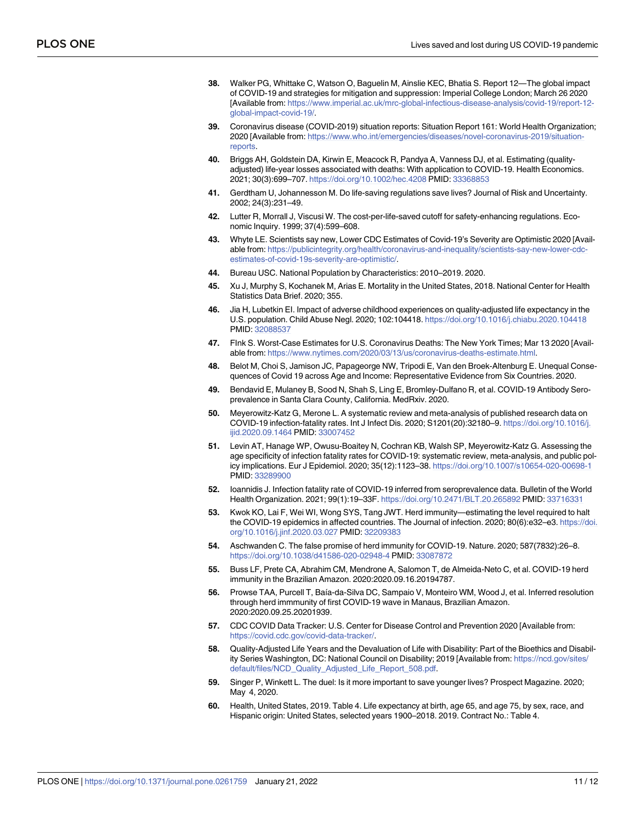- <span id="page-10-0"></span>**[38](#page-3-0).** Walker PG, Whittake C, Watson O, Baguelin M, Ainslie KEC, Bhatia S. Report 12—The global impact of COVID-19 and strategies for mitigation and suppression: Imperial College London; March 26 2020 [Available from: [https://www.imperial.ac.uk/mrc-global-infectious-disease-analysis/covid-19/report-12](https://www.imperial.ac.uk/mrc-global-infectious-disease-analysis/covid-19/report-12-global-impact-covid-19/) [global-impact-covid-19/.](https://www.imperial.ac.uk/mrc-global-infectious-disease-analysis/covid-19/report-12-global-impact-covid-19/)
- **[39](#page-2-0).** Coronavirus disease (COVID-2019) situation reports: Situation Report 161: World Health Organization; 2020 [Available from: [https://www.who.int/emergencies/diseases/novel-coronavirus-2019/situation](https://www.who.int/emergencies/diseases/novel-coronavirus-2019/situation-reports)**[reports](https://www.who.int/emergencies/diseases/novel-coronavirus-2019/situation-reports)**
- **[40](#page-2-0).** Briggs AH, Goldstein DA, Kirwin E, Meacock R, Pandya A, Vanness DJ, et al. Estimating (qualityadjusted) life-year losses associated with deaths: With application to COVID-19. Health Economics. 2021; 30(3):699–707. <https://doi.org/10.1002/hec.4208> PMID: [33368853](http://www.ncbi.nlm.nih.gov/pubmed/33368853)
- **[41](#page-2-0).** Gerdtham U, Johannesson M. Do life-saving regulations save lives? Journal of Risk and Uncertainty. 2002; 24(3):231–49.
- **[42](#page-2-0).** Lutter R, Morrall J, Viscusi W. The cost-per-life-saved cutoff for safety-enhancing regulations. Economic Inquiry. 1999; 37(4):599–608.
- **[43](#page-2-0).** Whyte LE. Scientists say new, Lower CDC Estimates of Covid-19's Severity are Optimistic 2020 [Available from: [https://publicintegrity.org/health/coronavirus-and-inequality/scientists-say-new-lower-cdc](https://publicintegrity.org/health/coronavirus-and-inequality/scientists-say-new-lower-cdc-estimates-of-covid-19s-severity-are-optimistic/)[estimates-of-covid-19s-severity-are-optimistic/.](https://publicintegrity.org/health/coronavirus-and-inequality/scientists-say-new-lower-cdc-estimates-of-covid-19s-severity-are-optimistic/)
- **[44](#page-3-0).** Bureau USC. National Population by Characteristics: 2010–2019. 2020.
- **[45](#page-3-0).** Xu J, Murphy S, Kochanek M, Arias E. Mortality in the United States, 2018. National Center for Health Statistics Data Brief. 2020; 355.
- **[46](#page-3-0).** Jia H, Lubetkin EI. Impact of adverse childhood experiences on quality-adjusted life expectancy in the U.S. population. Child Abuse Negl. 2020; 102:104418. <https://doi.org/10.1016/j.chiabu.2020.104418> PMID: [32088537](http://www.ncbi.nlm.nih.gov/pubmed/32088537)
- **[47](#page-3-0).** FInk S. Worst-Case Estimates for U.S. Coronavirus Deaths: The New York Times; Mar 13 2020 [Available from: [https://www.nytimes.com/2020/03/13/us/coronavirus-deaths-estimate.html.](https://www.nytimes.com/2020/03/13/us/coronavirus-deaths-estimate.html)
- **48.** Belot M, Choi S, Jamison JC, Papageorge NW, Tripodi E, Van den Broek-Altenburg E. Unequal Consequences of Covid 19 across Age and Income: Representative Evidence from Six Countries. 2020.
- **[49](#page-3-0).** Bendavid E, Mulaney B, Sood N, Shah S, Ling E, Bromley-Dulfano R, et al. COVID-19 Antibody Seroprevalence in Santa Clara County, California. MedRxiv. 2020.
- **[50](#page-3-0).** Meyerowitz-Katz G, Merone L. A systematic review and meta-analysis of published research data on COVID-19 infection-fatality rates. Int J Infect Dis. 2020; S1201(20):32180–9. [https://doi.org/10.1016/j.](https://doi.org/10.1016/j.ijid.2020.09.1464) [ijid.2020.09.1464](https://doi.org/10.1016/j.ijid.2020.09.1464) PMID: [33007452](http://www.ncbi.nlm.nih.gov/pubmed/33007452)
- **[51](#page-6-0).** Levin AT, Hanage WP, Owusu-Boaitey N, Cochran KB, Walsh SP, Meyerowitz-Katz G. Assessing the age specificity of infection fatality rates for COVID-19: systematic review, meta-analysis, and public policy implications. Eur J Epidemiol. 2020; 35(12):1123–38. <https://doi.org/10.1007/s10654-020-00698-1> PMID: [33289900](http://www.ncbi.nlm.nih.gov/pubmed/33289900)
- **[52](#page-3-0).** Ioannidis J. Infection fatality rate of COVID-19 inferred from seroprevalence data. Bulletin of the World Health Organization. 2021; 99(1):19–33F. <https://doi.org/10.2471/BLT.20.265892> PMID: [33716331](http://www.ncbi.nlm.nih.gov/pubmed/33716331)
- **[53](#page-3-0).** Kwok KO, Lai F, Wei WI, Wong SYS, Tang JWT. Herd immunity—estimating the level required to halt the COVID-19 epidemics in affected countries. The Journal of infection. 2020; 80(6):e32–e3. [https://doi.](https://doi.org/10.1016/j.jinf.2020.03.027) [org/10.1016/j.jinf.2020.03.027](https://doi.org/10.1016/j.jinf.2020.03.027) PMID: [32209383](http://www.ncbi.nlm.nih.gov/pubmed/32209383)
- **54.** Aschwanden C. The false promise of herd immunity for COVID-19. Nature. 2020; 587(7832):26–8. <https://doi.org/10.1038/d41586-020-02948-4> PMID: [33087872](http://www.ncbi.nlm.nih.gov/pubmed/33087872)
- **55.** Buss LF, Prete CA, Abrahim CM, Mendrone A, Salomon T, de Almeida-Neto C, et al. COVID-19 herd immunity in the Brazilian Amazon. 2020:2020.09.16.20194787.
- **[56](#page-3-0).** Prowse TAA, Purcell T, Baı´a-da-Silva DC, Sampaio V, Monteiro WM, Wood J, et al. Inferred resolution through herd immmunity of first COVID-19 wave in Manaus, Brazilian Amazon. 2020:2020.09.25.20201939.
- **[57](#page-3-0).** CDC COVID Data Tracker: U.S. Center for Disease Control and Prevention 2020 [Available from: <https://covid.cdc.gov/covid-data-tracker/>.
- **[58](#page-5-0).** Quality-Adjusted Life Years and the Devaluation of Life with Disability: Part of the Bioethics and Disability Series Washington, DC: National Council on Disability; 2019 [Available from: [https://ncd.gov/sites/](https://ncd.gov/sites/default/files/NCD_Quality_Adjusted_Life_Report_508.pdf) [default/files/NCD\\_Quality\\_Adjusted\\_Life\\_Report\\_508.pdf.](https://ncd.gov/sites/default/files/NCD_Quality_Adjusted_Life_Report_508.pdf)
- **[59](#page-5-0).** Singer P, Winkett L. The duel: Is it more important to save younger lives? Prospect Magazine. 2020; May 4, 2020.
- **[60](#page-5-0).** Health, United States, 2019. Table 4. Life expectancy at birth, age 65, and age 75, by sex, race, and Hispanic origin: United States, selected years 1900–2018. 2019. Contract No.: Table 4.